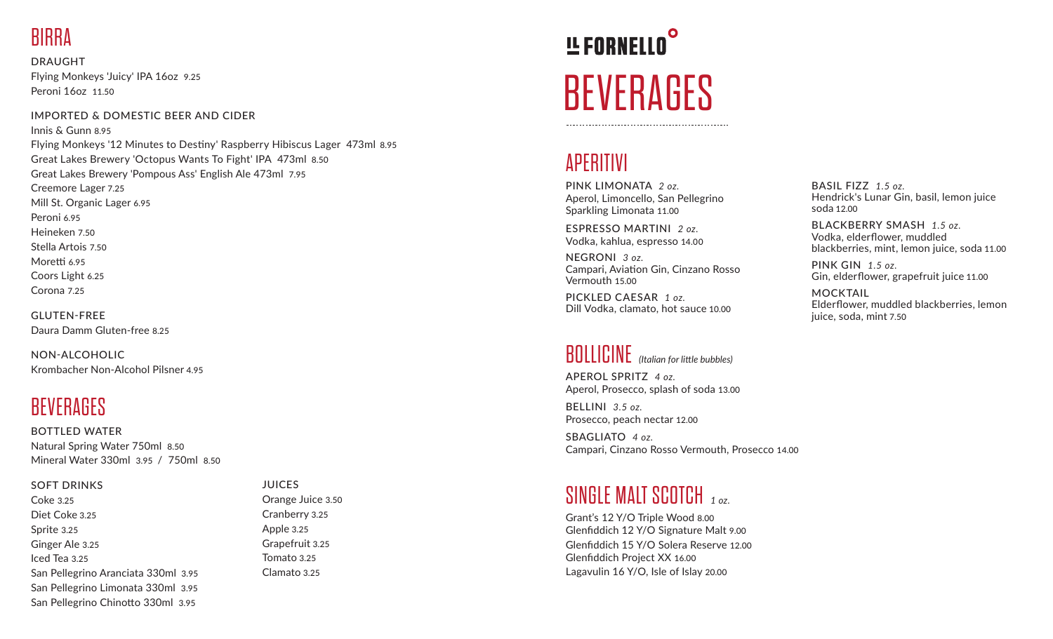# **RIRRA**

DRAUGHT Flying Monkeys 'Juicy' IPA 16oz 9.25 Peroni 16oz 11.50

#### IMPORTED & DOMESTIC BEER AND CIDER

Innis & Gunn 8.95 Flying Monkeys '12 Minutes to Destiny' Raspberry Hibiscus Lager 473ml 8.95 Great Lakes Brewery 'Octopus Wants To Fight' IPA 473ml 8.50 Great Lakes Brewery 'Pompous Ass' English Ale 473ml 7.95 Creemore Lager 7.25 Mill St. Organic Lager 6.95 Peroni 6.95 Heineken 7.50 Stella Artois 7.50 Moretti 6.95 Coors Light 6.25 Corona 7.25

GLUTEN-FREE Daura Damm Gluten-free 8.25

NON-ALCOHOLIC Krombacher Non-Alcohol Pilsner 4.95

# **BEVERAGES**

BOTTLED WATER Natural Spring Water 750ml 8.50 Mineral Water 330ml 3.95 / 750ml 8.50

#### SOFT DRINKS

Coke 3.25 Diet Coke 3.25 Sprite 3.25 Ginger Ale 3.25 Iced Tea 3.25 San Pellegrino Aranciata 330ml 3.95 San Pellegrino Limonata 330ml 3.95 San Pellegrino Chinotto 330ml 3.95

#### **JUICES** Orange Juice 3.50 Cranberry 3.25 Apple 3.25 Grapefruit 3.25 Tomato 3.25 Clamato 3.25

# **!L FORNELLO BEVERAGES**

### APERITIVI

PINK LIMONATA *2 oz.* Aperol, Limoncello, San Pellegrino Sparkling Limonata 11.00

ESPRESSO MARTINI *2 oz.* Vodka, kahlua, espresso 14.00

NEGRONI *3 oz.* Campari, Aviation Gin, Cinzano Rosso Vermouth 15.00

PICKLED CAESAR *1 oz.* Dill Vodka, clamato, hot sauce 10.00

# BOLLICINE *(Italian for little bubbles)*

APEROL SPRITZ *4 oz.* Aperol, Prosecco, splash of soda 13.00

BELLINI *3.5 oz.* Prosecco, peach nectar 12.00

SBAGLIATO *4 oz.* Campari, Cinzano Rosso Vermouth, Prosecco 14.00

### SINGLE MALT SCOTCH *1 oz.*

Grant's 12 Y/O Triple Wood 8.00 Glenfiddich 12 Y/O Signature Malt 9.00 Glenfiddich 15 Y/O Solera Reserve 12.00 Glenfiddich Project XX 16.00 Lagavulin 16 Y/O, Isle of Islay 20.00

BASIL FIZZ *1.5 oz.* Hendrick's Lunar Gin, basil, lemon juice soda 12.00

BLACKBERRY SMASH *1.5 oz.* Vodka, elderflower, muddled blackberries, mint, lemon juice, soda 11.00

PINK GIN *1.5 oz.* Gin, elderflower, grapefruit juice 11.00

MOCKTAIL Elderflower, muddled blackberries, lemon juice, soda, mint 7.50